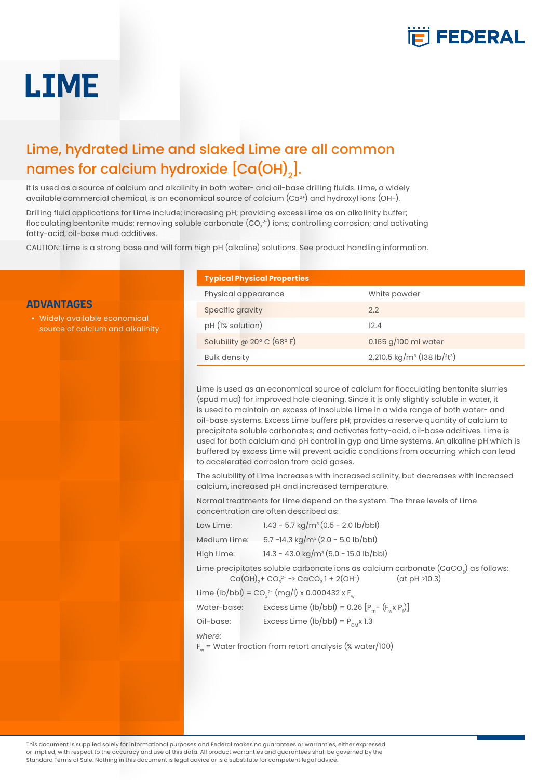

# **LIME**

### Lime, hydrated Lime and slaked Lime are all common names for calcium hydroxide  $\mathtt{[Ca(OH)}_{2}].$

It is used as a source of calcium and alkalinity in both water- and oil-base drilling fluids. Lime, a widely available commercial chemical, is an economical source of calcium (Ca<sup>2+</sup>) and hydroxyl ions (OH-).

Drilling fluid applications for Lime include: increasing pH; providing excess Lime as an alkalinity buffer; flocculating bentonite muds; removing soluble carbonate (CO $_3^{2-}$ ) ions; controlling corrosion; and activating fatty-acid, oil-base mud additives.

CAUTION: Lime is a strong base and will form high pH (alkaline) solutions. See product handling information.

#### **ADVANTAGES**

• Widely available economical source of calcium and alkalinity

#### **Typical Physical Properties**

| Physical appearance      | White powder                                        |
|--------------------------|-----------------------------------------------------|
| Specific gravity         | 2.2                                                 |
| pH (1% solution)         | 12.4                                                |
| Solubility @ 20°C (68°F) | 0.165 g/100 ml water                                |
| <b>Bulk density</b>      | 2,210.5 kg/m <sup>3</sup> (138 lb/ft <sup>3</sup> ) |

Lime is used as an economical source of calcium for flocculating bentonite slurries (spud mud) for improved hole cleaning. Since it is only slightly soluble in water, it is used to maintain an excess of insoluble Lime in a wide range of both water- and oil-base systems. Excess Lime buffers pH; provides a reserve quantity of calcium to precipitate soluble carbonates; and activates fatty-acid, oil-base additives. Lime is used for both calcium and pH control in gyp and Lime systems. An alkaline pH which is buffered by excess Lime will prevent acidic conditions from occurring which can lead to accelerated corrosion from acid gases.

The solubility of Lime increases with increased salinity, but decreases with increased calcium, increased pH and increased temperature.

Normal treatments for Lime depend on the system. The three levels of Lime concentration are often described as:

| Low Lime:                                                                                                                                                            | $1.43 - 5.7$ kg/m <sup>3</sup> (0.5 - 2.0 lb/bbl)      |  |
|----------------------------------------------------------------------------------------------------------------------------------------------------------------------|--------------------------------------------------------|--|
| Medium Lime:                                                                                                                                                         | 5.7 -14.3 kg/m <sup>3</sup> (2.0 - 5.0 lb/bbl)         |  |
| High Lime:                                                                                                                                                           | $14.3 - 43.0$ kg/m <sup>3</sup> (5.0 - 15.0 lb/bbl)    |  |
| Lime precipitates soluble carbonate ions as calcium carbonate (CaCO <sub>3</sub> ) as follows:<br>$Ca(OH)_2 + CO_3^2 \rightarrow CaCO_3 + 2(OH^2)$<br>(at pH > 10.3) |                                                        |  |
| Lime (lb/bbl) = $CO_3^{2}$ (mg/l) x 0.000432 x F <sub>w</sub>                                                                                                        |                                                        |  |
| Water-base:                                                                                                                                                          | Excess Lime (lb/bbl) = 0.26 $[P_m - (F_w \times P_t)]$ |  |
| Oil-base:                                                                                                                                                            | Excess Lime (lb/bbl) = $P_{\text{out}}$ x 1.3          |  |
| where:<br>$F_w$ = Water fraction from retort analysis (% water/100)                                                                                                  |                                                        |  |

This document is supplied solely for informational purposes and Federal makes no guarantees or warranties, either expressed or implied, with respect to the accuracy and use of this data. All product warranties and guarantees shall be governed by the Standard Terms of Sale. Nothing in this document is legal advice or is a substitute for competent legal advice.